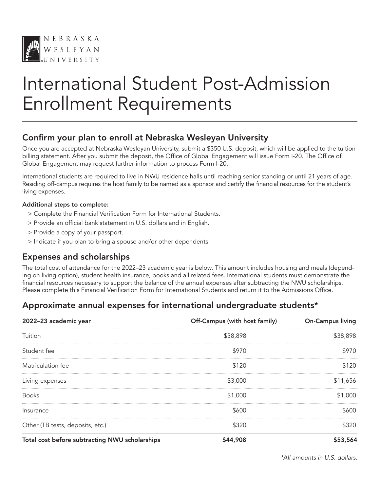

# International Student Post-Admission Enrollment Requirements

### Confirm your plan to enroll at Nebraska Wesleyan University

Once you are accepted at Nebraska Wesleyan University, submit a \$350 U.S. deposit, which will be applied to the tuition billing statement. After you submit the deposit, the Office of Global Engagement will issue Form I-20. The Office of Global Engagement may request further information to process Form I-20.

International students are required to live in NWU residence halls until reaching senior standing or until 21 years of age. Residing off-campus requires the host family to be named as a sponsor and certify the financial resources for the student's living expenses.

#### Additional steps to complete:

- > Complete the Financial Verification Form for International Students.
- > Provide an official bank statement in U.S. dollars and in English.
- > Provide a copy of your passport.
- > Indicate if you plan to bring a spouse and/or other dependents.

### Expenses and scholarships

The total cost of attendance for the 2022–23 academic year is below. This amount includes housing and meals (depending on living option), student health insurance, books and all related fees. International students must demonstrate the financial resources necessary to support the balance of the annual expenses after subtracting the NWU scholarships. Please complete this Financial Verification Form for International Students and return it to the Admissions Office.

### Approximate annual expenses for international undergraduate students\*

| 2022-23 academic year                          | Off-Campus (with host family) | <b>On-Campus living</b> |  |
|------------------------------------------------|-------------------------------|-------------------------|--|
| Tuition                                        | \$38,898                      | \$38,898                |  |
| Student fee                                    | \$970                         | \$970                   |  |
| Matriculation fee                              | \$120                         | \$120.                  |  |
| Living expenses                                | \$3,000                       | \$11,656                |  |
| <b>Books</b>                                   | \$1,000                       | \$1,000                 |  |
| Insurance                                      | \$600                         | 600                     |  |
| Other (TB tests, deposits, etc.)               | \$320                         | \$320.                  |  |
| Total cost before subtracting NWU scholarships |                               | \$53.564                |  |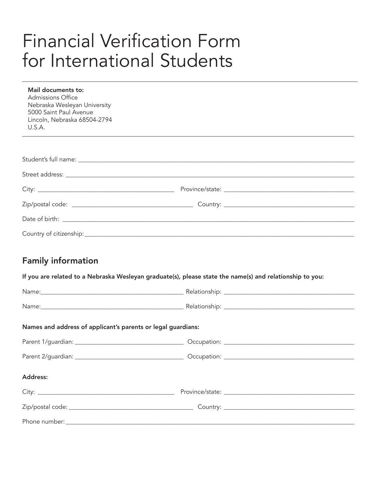# Financial Verification Form for International Students

| Mail documents to:<br><b>Admissions Office</b><br>Nebraska Wesleyan University |                                                                                                          |  |
|--------------------------------------------------------------------------------|----------------------------------------------------------------------------------------------------------|--|
| 5000 Saint Paul Avenue<br>Lincoln, Nebraska 68504-2794<br>U.S.A.               | ,我们也不会有什么。""我们的人,我们也不会有什么?""我们的人,我们也不会有什么?""我们的人,我们也不会有什么?""我们的人,我们也不会有什么?""我们的人                         |  |
|                                                                                |                                                                                                          |  |
|                                                                                |                                                                                                          |  |
|                                                                                |                                                                                                          |  |
|                                                                                |                                                                                                          |  |
|                                                                                |                                                                                                          |  |
|                                                                                |                                                                                                          |  |
|                                                                                |                                                                                                          |  |
| <b>Family information</b>                                                      | If you are related to a Nebraska Wesleyan graduate(s), please state the name(s) and relationship to you: |  |
|                                                                                |                                                                                                          |  |
|                                                                                |                                                                                                          |  |
| Names and address of applicant's parents or legal guardians:                   |                                                                                                          |  |
|                                                                                |                                                                                                          |  |
|                                                                                |                                                                                                          |  |
| Address:                                                                       |                                                                                                          |  |
|                                                                                |                                                                                                          |  |
|                                                                                |                                                                                                          |  |
|                                                                                |                                                                                                          |  |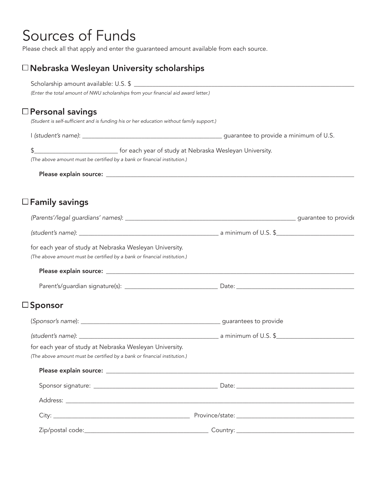## Sources of Funds

Please check all that apply and enter the guaranteed amount available from each source.

### Nebraska Wesleyan University scholarships

|                         | (Enter the total amount of NWU scholarships from your financial aid award letter.)                                                  |  |
|-------------------------|-------------------------------------------------------------------------------------------------------------------------------------|--|
| $\Box$ Personal savings | (Student is self-sufficient and is funding his or her education without family support.)                                            |  |
|                         |                                                                                                                                     |  |
| \$                      | _________________________________for each year of study at Nebraska Wesleyan University.                                            |  |
|                         | (The above amount must be certified by a bank or financial institution.)                                                            |  |
|                         |                                                                                                                                     |  |
| $\Box$ Family savings   |                                                                                                                                     |  |
|                         |                                                                                                                                     |  |
|                         |                                                                                                                                     |  |
|                         | for each year of study at Nebraska Wesleyan University.<br>(The above amount must be certified by a bank or financial institution.) |  |
|                         |                                                                                                                                     |  |
|                         |                                                                                                                                     |  |
| $\square$ Sponsor       |                                                                                                                                     |  |
|                         |                                                                                                                                     |  |
|                         |                                                                                                                                     |  |
|                         | for each year of study at Nebraska Wesleyan University.<br>(The above amount must be certified by a bank or financial institution.) |  |
|                         |                                                                                                                                     |  |
|                         |                                                                                                                                     |  |
|                         |                                                                                                                                     |  |
|                         |                                                                                                                                     |  |
|                         |                                                                                                                                     |  |